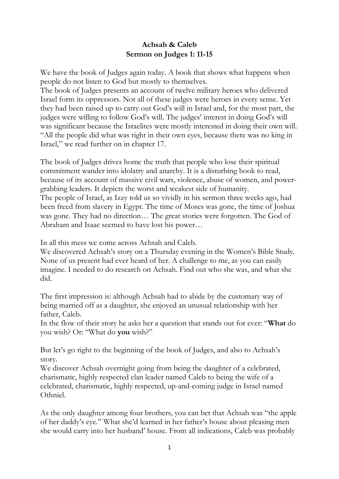## **Achsah & Caleb Sermon on Judges 1: 11-15**

We have the book of Judges again today. A book that shows what happens when people do not listen to God but mostly to themselves.

The book of Judges presents an account of twelve military heroes who delivered Israel form its oppressors. Not all of these judges were heroes in every sense. Yet they had been raised up to carry out God's will in Israel and, for the most part, the judges were willing to follow God's will. The judges' interest in doing God's will was significant because the Israelites were mostly interested in doing their own will. "All the people did what was right in their own eyes, because there was no king in Israel," we read further on in chapter 17.

The book of Judges drives home the truth that people who lose their spiritual commitment wander into idolatry and anarchy. It is a disturbing book to read, because of its account of massive civil wars, violence, abuse of women, and powergrabbing leaders. It depicts the worst and weakest side of humanity. The people of Israel, as Izzy told us so vividly in his sermon three weeks ago, had been freed from slavery in Egypt. The time of Moses was gone, the time of Joshua was gone. They had no direction… The great stories were forgotten. The God of Abraham and Isaac seemed to have lost his power…

In all this mess we come across Achsah and Caleb.

We discovered Achsah's story on a Thursday evening in the Women's Bible Study. None of us present had ever heard of her. A challenge to me, as you can easily imagine. I needed to do research on Achsah. Find out who she was, and what she did.

The first impression is: although Achsah had to abide by the customary way of being married off as a daughter, she enjoyed an unusual relationship with her father, Caleb.

In the flow of their story he asks her a question that stands out for ever: "**What** do you wish? Or: "What do **you** wish?"

But let's go right to the beginning of the book of Judges, and also to Achsah's story.

We discover Achsah overnight going from being the daughter of a celebrated, charismatic, highly respected clan leader named Caleb to being the wife of a celebrated, charismatic, highly respected, up-and-coming judge in Israel named Othniel.

As the only daughter among four brothers, you can bet that Achsah was "the apple of her daddy's eye." What she'd learned in her father's house about pleasing men she would carry into her husband' house. From all indications, Caleb was probably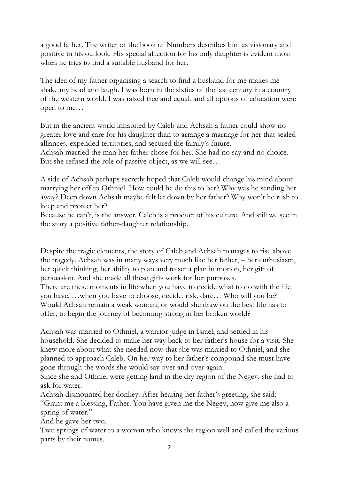a good father. The writer of the book of Numbers describes him as visionary and positive in his outlook. His special affection for his only daughter is evident most when he tries to find a suitable husband for her.

The idea of my father organising a search to find a husband for me makes me shake my head and laugh. I was born in the sixties of the last century in a country of the western world. I was raised free and equal, and all options of education were open to me…

But in the ancient world inhabited by Caleb and Achsah a father could show no greater love and care for his daughter than to arrange a marriage for her that sealed alliances, expended territories, and secured the family's future. Achsah married the man her father chose for her. She had no say and no choice. But she refused the role of passive object, as we will see…

A side of Achsah perhaps secretly hoped that Caleb would change his mind about marrying her off to Othniel. How could he do this to her? Why was he sending her away? Deep down Achsah maybe felt let down by her father? Why won't he rush to keep and protect her?

Because he can't, is the answer. Caleb is a product of his culture. And still we see in the story a positive father-daughter relationship.

Despite the tragic elements, the story of Caleb and Achsah manages to rise above the tragedy. Achsah was in many ways very much like her father, – her enthusiasm, her quick thinking, her ability to plan and to set a plan in motion, her gift of persuasion. And she made all these gifts work for her purposes. There are these moments in life when you have to decide what to do with the life you have. …when you have to choose, decide, risk, dare… Who will you be? Would Achsah remain a weak woman, or would she draw on the best life has to offer, to begin the journey of becoming strong in her broken world?

Achsah was married to Othniel, a warrior judge in Israel, and settled in his household. She decided to make her way back to her father's house for a visit. She knew more about what she needed now that she was married to Othniel, and she planned to approach Caleb. On her way to her father's compound she must have gone through the words she would say over and over again.

Since she and Othniel were getting land in the dry region of the Negev, she had to ask for water.

Achsah dismounted her donkey. After hearing her father's greeting, she said: "Grant me a blessing, Father. You have given me the Negev, now give me also a spring of water."

And he gave her two.

Two springs of water to a woman who knows the region well and called the various parts by their names.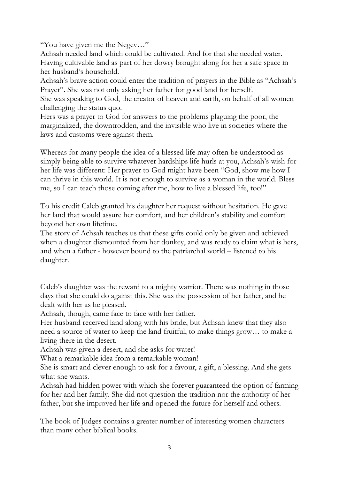"You have given me the Negev…"

Achsah needed land which could be cultivated. And for that she needed water. Having cultivable land as part of her dowry brought along for her a safe space in her husband's household.

Achsah's brave action could enter the tradition of prayers in the Bible as "Achsah's Prayer". She was not only asking her father for good land for herself.

She was speaking to God, the creator of heaven and earth, on behalf of all women challenging the status quo.

Hers was a prayer to God for answers to the problems plaguing the poor, the marginalized, the downtrodden, and the invisible who live in societies where the laws and customs were against them.

Whereas for many people the idea of a blessed life may often be understood as simply being able to survive whatever hardships life hurls at you, Achsah's wish for her life was different: Her prayer to God might have been "God, show me how I can thrive in this world. It is not enough to survive as a woman in the world. Bless me, so I can teach those coming after me, how to live a blessed life, too!"

To his credit Caleb granted his daughter her request without hesitation. He gave her land that would assure her comfort, and her children's stability and comfort beyond her own lifetime.

The story of Achsah teaches us that these gifts could only be given and achieved when a daughter dismounted from her donkey, and was ready to claim what is hers, and when a father - however bound to the patriarchal world – listened to his daughter.

Caleb's daughter was the reward to a mighty warrior. There was nothing in those days that she could do against this. She was the possession of her father, and he dealt with her as he pleased.

Achsah, though, came face to face with her father.

Her husband received land along with his bride, but Achsah knew that they also need a source of water to keep the land fruitful, to make things grow… to make a living there in the desert.

Achsah was given a desert, and she asks for water!

What a remarkable idea from a remarkable woman!

She is smart and clever enough to ask for a favour, a gift, a blessing. And she gets what she wants.

Achsah had hidden power with which she forever guaranteed the option of farming for her and her family. She did not question the tradition nor the authority of her father, but she improved her life and opened the future for herself and others.

The book of Judges contains a greater number of interesting women characters than many other biblical books.